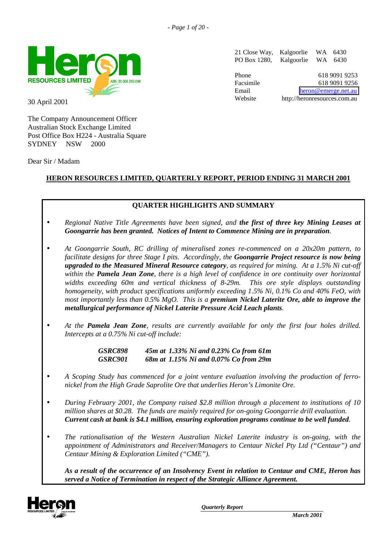

30 April 2001

The Company Announcement Officer Australian Stock Exchange Limited Post Office Box H224 - Australia Square SYDNEY NSW 2000

Dear Sir / Madam

21 Close Way, Kalgoorlie WA 6430 PO Box 1280, Kalgoorlie WA 6430

Phone 618 9091 9253 Facsimile 618 9091 9256 Email [heron@emerge.net.au](mailto:heron@emerge.net.au) Website http://heronresources.com.au

# **HERON RESOURCES LIMITED, QUARTERLY REPORT, PERIOD ENDING 31 MARCH 2001**

# **QUARTER HIGHLIGHTS AND SUMMARY**

- *Regional Native Title Agreements have been signed, and the first of three key Mining Leases at Goongarrie has been granted. Notices of Intent to Commence Mining are in preparation.*
- *At Goongarrie South, RC drilling of mineralised zones re-commenced on a 20x20m pattern, to facilitate designs for three Stage I pits. Accordingly, the Goongarrie Project resource is now being upgraded to the Measured Mineral Resource category, as required for mining. At a 1.5% Ni cut-off within the Pamela Jean Zone, there is a high level of confidence in ore continuity over horizontal widths exceeding 60m and vertical thickness of 8-29m. This ore style displays outstanding homogeneity, with product specifications uniformly exceeding 1.5% Ni, 0.1% Co and 40% FeO, with most importantly less than 0.5% MgO. This is a premium Nickel Laterite Ore, able to improve the metallurgical performance of Nickel Laterite Pressure Acid Leach plants.*
- *At the Pamela Jean Zone, results are currently available for only the first four holes drilled. Intercepts at a 0.75% Ni cut-off include:*

*GSRC898 45m at 1.33% Ni and 0.23% Co from 61m GSRC901 68m at 1.15% Ni and 0.07% Co from 29m*

- *A Scoping Study has commenced for a joint venture evaluation involving the production of ferronickel from the High Grade Saprolite Ore that underlies Heron's Limonite Ore.*
- *During February 2001, the Company raised \$2.8 million through a placement to institutions of 10 million shares at \$0.28. The funds are mainly required for on-going Goongarrie drill evaluation. Current cash at bank is \$4.1 million, ensuring exploration programs continue to be well funded.*
- *The rationalisation of the Western Australian Nickel Laterite industry is on-going, with the appointment of Administrators and Receiver/Managers to Centaur Nickel Pty Ltd ("Centaur") and Centaur Mining & Exploration Limited ("CME").*

*As a result of the occurrence of an Insolvency Event in relation to Centaur and CME, Heron has served a Notice of Termination in respect of the Strategic Alliance Agreement.*

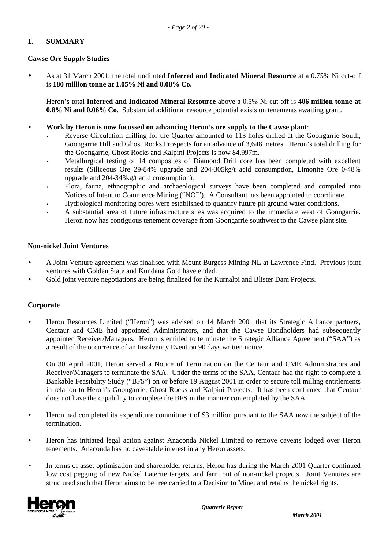# **1. SUMMARY**

# **Cawse Ore Supply Studies**

• As at 31 March 2001, the total undiluted **Inferred and Indicated Mineral Resource** at a 0.75% Ni cut-off is **180 million tonne at 1.05% Ni and 0.08% Co.**

Heron's total **Inferred and Indicated Mineral Resource** above a 0.5% Ni cut-off is **406 million tonne at 0.8% Ni and 0.06% Co**. Substantial additional resource potential exists on tenements awaiting grant.

- **Work by Heron is now focussed on advancing Heron's ore supply to the Cawse plant**:
	- Reverse Circulation drilling for the Quarter amounted to 113 holes drilled at the Goongarrie South, Goongarrie Hill and Ghost Rocks Prospects for an advance of 3,648 metres. Heron's total drilling for the Goongarrie, Ghost Rocks and Kalpini Projects is now 84,997m.
	- Metallurgical testing of 14 composites of Diamond Drill core has been completed with excellent results (Siliceous Ore 29-84% upgrade and 204-305kg/t acid consumption, Limonite Ore 0-48% upgrade and 204-343kg/t acid consumption).
	- Flora, fauna, ethnographic and archaeological surveys have been completed and compiled into Notices of Intent to Commence Mining ("NOI"). A Consultant has been appointed to coordinate.
	- Hydrological monitoring bores were established to quantify future pit ground water conditions.
	- A substantial area of future infrastructure sites was acquired to the immediate west of Goongarrie. Heron now has contiguous tenement coverage from Goongarrie southwest to the Cawse plant site.

### **Non-nickel Joint Ventures**

- A Joint Venture agreement was finalised with Mount Burgess Mining NL at Lawrence Find. Previous joint ventures with Golden State and Kundana Gold have ended.
- Gold joint venture negotiations are being finalised for the Kurnalpi and Blister Dam Projects.

# **Corporate**

• Heron Resources Limited ("Heron") was advised on 14 March 2001 that its Strategic Alliance partners, Centaur and CME had appointed Administrators, and that the Cawse Bondholders had subsequently appointed Receiver/Managers. Heron is entitled to terminate the Strategic Alliance Agreement ("SAA") as a result of the occurrence of an Insolvency Event on 90 days written notice.

On 30 April 2001, Heron served a Notice of Termination on the Centaur and CME Administrators and Receiver/Managers to terminate the SAA. Under the terms of the SAA, Centaur had the right to complete a Bankable Feasibility Study ("BFS") on or before 19 August 2001 in order to secure toll milling entitlements in relation to Heron's Goongarrie, Ghost Rocks and Kalpini Projects. It has been confirmed that Centaur does not have the capability to complete the BFS in the manner contemplated by the SAA.

- Heron had completed its expenditure commitment of \$3 million pursuant to the SAA now the subject of the termination.
- Heron has initiated legal action against Anaconda Nickel Limited to remove caveats lodged over Heron tenements. Anaconda has no caveatable interest in any Heron assets.
- In terms of asset optimisation and shareholder returns, Heron has during the March 2001 Quarter continued low cost pegging of new Nickel Laterite targets, and farm out of non-nickel projects. Joint Ventures are structured such that Heron aims to be free carried to a Decision to Mine, and retains the nickel rights.

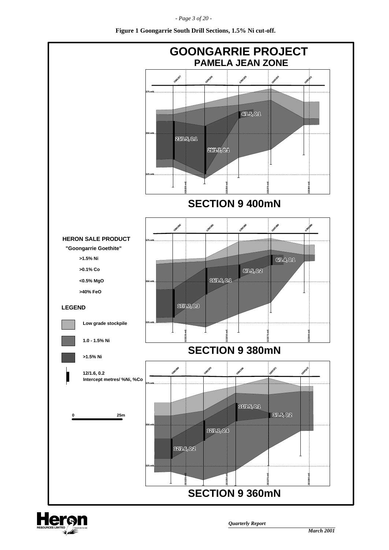*- Page 3 of 20 -*



**Figure 1 Goongarrie South Drill Sections, 1.5% Ni cut-off.**

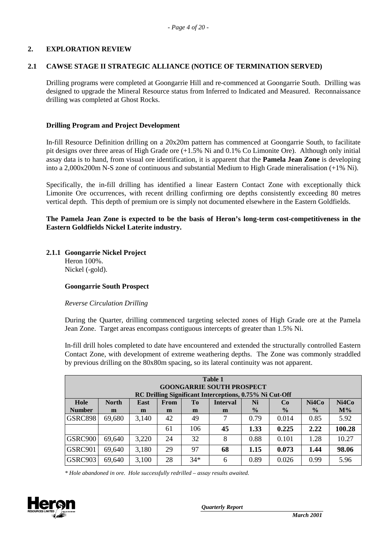# **2. EXPLORATION REVIEW**

### **2.1 CAWSE STAGE II STRATEGIC ALLIANCE (NOTICE OF TERMINATION SERVED)**

Drilling programs were completed at Goongarrie Hill and re-commenced at Goongarrie South. Drilling was designed to upgrade the Mineral Resource status from Inferred to Indicated and Measured. Reconnaissance drilling was completed at Ghost Rocks.

### **Drilling Program and Project Development**

In-fill Resource Definition drilling on a 20x20m pattern has commenced at Goongarrie South, to facilitate pit designs over three areas of High Grade ore (+1.5% Ni and 0.1% Co Limonite Ore). Although only initial assay data is to hand, from visual ore identification, it is apparent that the **Pamela Jean Zone** is developing into a 2,000x200m N-S zone of continuous and substantial Medium to High Grade mineralisation (+1% Ni).

Specifically, the in-fill drilling has identified a linear Eastern Contact Zone with exceptionally thick Limonite Ore occurrences, with recent drilling confirming ore depths consistently exceeding 80 metres vertical depth. This depth of premium ore is simply not documented elsewhere in the Eastern Goldfields.

**The Pamela Jean Zone is expected to be the basis of Heron's long-term cost-competitiveness in the Eastern Goldfields Nickel Laterite industry.**

#### **2.1.1 Goongarrie Nickel Project** Heron 100%. Nickel (-gold).

#### **Goongarrie South Prospect**

#### *Reverse Circulation Drilling*

During the Quarter, drilling commenced targeting selected zones of High Grade ore at the Pamela Jean Zone. Target areas encompass contiguous intercepts of greater than 1.5% Ni.

In-fill drill holes completed to date have encountered and extended the structurally controlled Eastern Contact Zone, with development of extreme weathering depths. The Zone was commonly straddled by previous drilling on the 80x80m spacing, so its lateral continuity was not apparent.

| <b>Table 1</b> |                                                                                                                    |       |    |       |    |               |               |               |        |
|----------------|--------------------------------------------------------------------------------------------------------------------|-------|----|-------|----|---------------|---------------|---------------|--------|
|                | <b>GOONGARRIE SOUTH PROSPECT</b>                                                                                   |       |    |       |    |               |               |               |        |
|                | RC Drilling Significant Interceptions, 0.75% Ni Cut-Off                                                            |       |    |       |    |               |               |               |        |
| Hole           | Ni4Co<br>Ni4Co<br><b>North</b><br>T <sub>0</sub><br>Ni<br>From<br><b>Interval</b><br><b>East</b><br>C <sub>0</sub> |       |    |       |    |               |               |               |        |
| <b>Number</b>  | m                                                                                                                  | m     | m  | m     | m  | $\frac{0}{0}$ | $\frac{6}{9}$ | $\frac{0}{0}$ | $M\%$  |
| <b>GSRC898</b> | 69,680                                                                                                             | 3,140 | 42 | 49    | 7  | 0.79          | 0.014         | 0.85          | 5.92   |
|                |                                                                                                                    |       | 61 | 106   | 45 | 1.33          | 0.225         | 2.22          | 100.28 |
| GSRC900        | 69,640                                                                                                             | 3,220 | 24 | 32    | 8  | 0.88          | 0.101         | 1.28          | 10.27  |
| GSRC901        | 69,640                                                                                                             | 3,180 | 29 | 97    | 68 | 1.15          | 0.073         | 1.44          | 98.06  |
| GSRC903        | 69,640                                                                                                             | 3,100 | 28 | $34*$ | 6  | 0.89          | 0.026         | 0.99          | 5.96   |

*\* Hole abandoned in ore. Hole successfully redrilled – assay results awaited.*

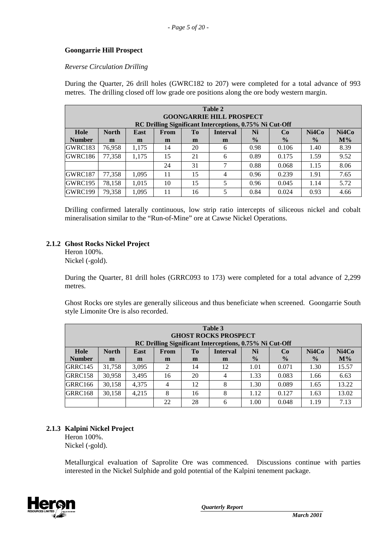### **Goongarrie Hill Prospect**

#### *Reverse Circulation Drilling*

During the Quarter, 26 drill holes (GWRC182 to 207) were completed for a total advance of 993 metres. The drilling closed off low grade ore positions along the ore body western margin.

| Table 2<br><b>GOONGARRIE HILL PROSPECT</b>              |                                                                                      |       |    |    |                |               |               |               |       |
|---------------------------------------------------------|--------------------------------------------------------------------------------------|-------|----|----|----------------|---------------|---------------|---------------|-------|
| RC Drilling Significant Interceptions, 0.75% Ni Cut-Off |                                                                                      |       |    |    |                |               |               |               |       |
| Hole                                                    | Ni4Co<br>Ni4Co<br><b>North</b><br>To<br>Ni<br>East<br><b>Interval</b><br>From<br>Co. |       |    |    |                |               |               |               |       |
| <b>Number</b>                                           | m                                                                                    | m     | m  | m  | m              | $\frac{0}{0}$ | $\frac{0}{0}$ | $\frac{0}{0}$ | $M\%$ |
| GWRC183                                                 | 76,958                                                                               | 1.175 | 14 | 20 | 6              | 0.98          | 0.106         | 1.40          | 8.39  |
| GWRC186                                                 | 77,358                                                                               | 1.175 | 15 | 21 | 6              | 0.89          | 0.175         | 1.59          | 9.52  |
|                                                         |                                                                                      |       | 24 | 31 | 7              | 0.88          | 0.068         | 1.15          | 8.06  |
| GWRC187                                                 | 77,358                                                                               | 1.095 | 11 | 15 | $\overline{4}$ | 0.96          | 0.239         | 1.91          | 7.65  |
| GWRC195                                                 | 78,158                                                                               | 1,015 | 10 | 15 | 5              | 0.96          | 0.045         | 1.14          | 5.72  |
| GWRC199                                                 | 79,358                                                                               | 1,095 | 11 | 16 | 5              | 0.84          | 0.024         | 0.93          | 4.66  |

Drilling confirmed laterally continuous, low strip ratio intercepts of siliceous nickel and cobalt mineralisation similar to the "Run-of-Mine" ore at Cawse Nickel Operations.

### **2.1.2 Ghost Rocks Nickel Project**

Heron 100%. Nickel (-gold).

During the Quarter, 81 drill holes (GRRC093 to 173) were completed for a total advance of 2,299 metres.

Ghost Rocks ore styles are generally siliceous and thus beneficiate when screened. Goongarrie South style Limonite Ore is also recorded.

| Table 3<br><b>GHOST ROCKS PROSPECT</b><br>RC Drilling Significant Interceptions, 0.75% Ni Cut-Off |                                                                                                        |       |                |    |    |               |               |               |       |
|---------------------------------------------------------------------------------------------------|--------------------------------------------------------------------------------------------------------|-------|----------------|----|----|---------------|---------------|---------------|-------|
| Hole                                                                                              | Ni4Co<br>Ni4Co<br><b>North</b><br>T <sub>0</sub><br>Ni<br>East<br>From<br><b>Interval</b><br><b>Co</b> |       |                |    |    |               |               |               |       |
| <b>Number</b>                                                                                     | m                                                                                                      | m     | m              | m  | m  | $\frac{0}{0}$ | $\frac{0}{0}$ | $\frac{0}{0}$ | $M\%$ |
| GRRC145                                                                                           | 31,758                                                                                                 | 3.095 | 2              | 14 | 12 | 1.01          | 0.071         | 1.30          | 15.57 |
| GRRC158                                                                                           | 30.958                                                                                                 | 3.495 | 16             | 20 | 4  | 1.33          | 0.083         | 1.66          | 6.63  |
| GRRC166                                                                                           | 30,158                                                                                                 | 4.375 | $\overline{4}$ | 12 | 8  | 1.30          | 0.089         | 1.65          | 13.22 |
| GRRC168                                                                                           | 30,158                                                                                                 | 4.215 | 8              | 16 | 8  | 1.12          | 0.127         | 1.63          | 13.02 |
|                                                                                                   |                                                                                                        |       | 22             | 28 | 6  | 1.00          | 0.048         | 1.19          | 7.13  |

# **2.1.3 Kalpini Nickel Project**

Heron 100%. Nickel (-gold).

Metallurgical evaluation of Saprolite Ore was commenced. Discussions continue with parties interested in the Nickel Sulphide and gold potential of the Kalpini tenement package.

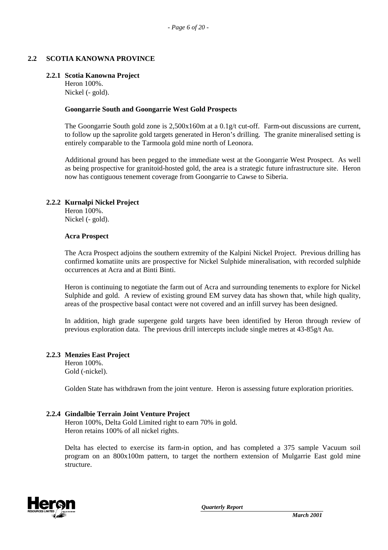# **2.2 SCOTIA KANOWNA PROVINCE**

### **2.2.1 Scotia Kanowna Project**

Heron 100%. Nickel (- gold).

### **Goongarrie South and Goongarrie West Gold Prospects**

The Goongarrie South gold zone is  $2.500x160m$  at a  $0.1g/t$  cut-off. Farm-out discussions are current, to follow up the saprolite gold targets generated in Heron's drilling. The granite mineralised setting is entirely comparable to the Tarmoola gold mine north of Leonora.

Additional ground has been pegged to the immediate west at the Goongarrie West Prospect. As well as being prospective for granitoid-hosted gold, the area is a strategic future infrastructure site. Heron now has contiguous tenement coverage from Goongarrie to Cawse to Siberia.

### **2.2.2 Kurnalpi Nickel Project**

Heron 100%. Nickel (- gold).

#### **Acra Prospect**

The Acra Prospect adjoins the southern extremity of the Kalpini Nickel Project. Previous drilling has confirmed komatiite units are prospective for Nickel Sulphide mineralisation, with recorded sulphide occurrences at Acra and at Binti Binti.

Heron is continuing to negotiate the farm out of Acra and surrounding tenements to explore for Nickel Sulphide and gold. A review of existing ground EM survey data has shown that, while high quality, areas of the prospective basal contact were not covered and an infill survey has been designed.

In addition, high grade supergene gold targets have been identified by Heron through review of previous exploration data. The previous drill intercepts include single metres at 43-85g/t Au.

# **2.2.3 Menzies East Project**

Heron 100%. Gold (-nickel).

Golden State has withdrawn from the joint venture. Heron is assessing future exploration priorities.

# **2.2.4 Gindalbie Terrain Joint Venture Project**

Heron 100%, Delta Gold Limited right to earn 70% in gold. Heron retains 100% of all nickel rights.

Delta has elected to exercise its farm-in option, and has completed a 375 sample Vacuum soil program on an 800x100m pattern, to target the northern extension of Mulgarrie East gold mine structure.

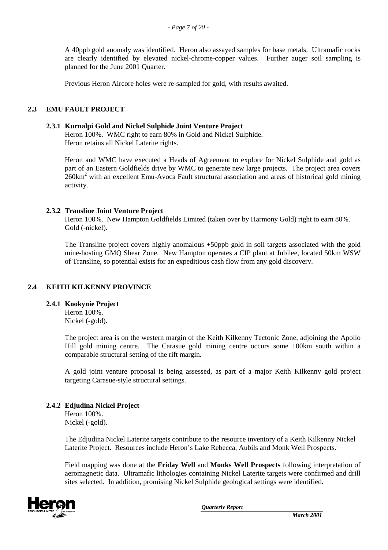A 40ppb gold anomaly was identified. Heron also assayed samples for base metals. Ultramafic rocks are clearly identified by elevated nickel-chrome-copper values. Further auger soil sampling is planned for the June 2001 Quarter.

Previous Heron Aircore holes were re-sampled for gold, with results awaited.

# **2.3 EMU FAULT PROJECT**

#### **2.3.1 Kurnalpi Gold and Nickel Sulphide Joint Venture Project**

Heron 100%. WMC right to earn 80% in Gold and Nickel Sulphide. Heron retains all Nickel Laterite rights.

Heron and WMC have executed a Heads of Agreement to explore for Nickel Sulphide and gold as part of an Eastern Goldfields drive by WMC to generate new large projects. The project area covers 260km<sup>2</sup> with an excellent Emu-Avoca Fault structural association and areas of historical gold mining activity.

### **2.3.2 Transline Joint Venture Project**

Heron 100%. New Hampton Goldfields Limited (taken over by Harmony Gold) right to earn 80%. Gold (-nickel).

The Transline project covers highly anomalous +50ppb gold in soil targets associated with the gold mine-hosting GMQ Shear Zone. New Hampton operates a CIP plant at Jubilee, located 50km WSW of Transline, so potential exists for an expeditious cash flow from any gold discovery.

# **2.4 KEITH KILKENNY PROVINCE**

#### **2.4.1 Kookynie Project**

Heron 100%. Nickel (-gold).

The project area is on the western margin of the Keith Kilkenny Tectonic Zone, adjoining the Apollo Hill gold mining centre. The Carasue gold mining centre occurs some 100km south within a comparable structural setting of the rift margin.

A gold joint venture proposal is being assessed, as part of a major Keith Kilkenny gold project targeting Carasue-style structural settings.

# **2.4.2 Edjudina Nickel Project**

Heron 100%. Nickel (-gold).

The Edjudina Nickel Laterite targets contribute to the resource inventory of a Keith Kilkenny Nickel Laterite Project. Resources include Heron's Lake Rebecca, Aubils and Monk Well Prospects.

Field mapping was done at the **Friday Well** and **Monks Well Prospects** following interpretation of aeromagnetic data. Ultramafic lithologies containing Nickel Laterite targets were confirmed and drill sites selected. In addition, promising Nickel Sulphide geological settings were identified.

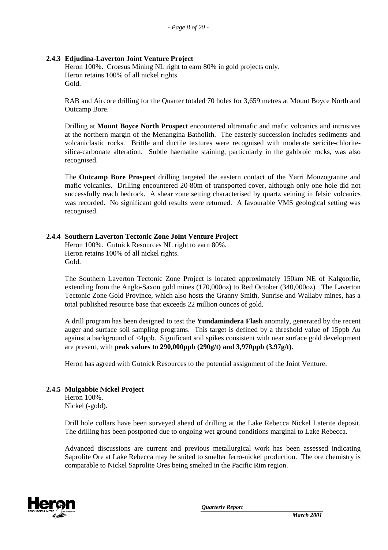# **2.4.3 Edjudina-Laverton Joint Venture Project**

Heron 100%. Croesus Mining NL right to earn 80% in gold projects only. Heron retains 100% of all nickel rights. Gold.

RAB and Aircore drilling for the Quarter totaled 70 holes for 3,659 metres at Mount Boyce North and Outcamp Bore.

Drilling at **Mount Boyce North Prospect** encountered ultramafic and mafic volcanics and intrusives at the northern margin of the Menangina Batholith. The easterly succession includes sediments and volcaniclastic rocks. Brittle and ductile textures were recognised with moderate sericite-chloritesilica-carbonate alteration. Subtle haematite staining, particularly in the gabbroic rocks, was also recognised.

The **Outcamp Bore Prospect** drilling targeted the eastern contact of the Yarri Monzogranite and mafic volcanics. Drilling encountered 20-80m of transported cover, although only one hole did not successfully reach bedrock. A shear zone setting characterised by quartz veining in felsic volcanics was recorded. No significant gold results were returned. A favourable VMS geological setting was recognised.

# **2.4.4 Southern Laverton Tectonic Zone Joint Venture Project**

Heron 100%. Gutnick Resources NL right to earn 80%. Heron retains 100% of all nickel rights. Gold.

The Southern Laverton Tectonic Zone Project is located approximately 150km NE of Kalgoorlie, extending from the Anglo-Saxon gold mines (170,000oz) to Red October (340,000oz). The Laverton Tectonic Zone Gold Province, which also hosts the Granny Smith, Sunrise and Wallaby mines, has a total published resource base that exceeds 22 million ounces of gold.

A drill program has been designed to test the **Yundamindera Flash** anomaly, generated by the recent auger and surface soil sampling programs. This target is defined by a threshold value of 15ppb Au against a background of <4ppb. Significant soil spikes consistent with near surface gold development are present, with **peak values to 290,000ppb (290g/t) and 3,970ppb (3.97g/t)**.

Heron has agreed with Gutnick Resources to the potential assignment of the Joint Venture.

# **2.4.5 Mulgabbie Nickel Project**

Heron 100%. Nickel (-gold).

Drill hole collars have been surveyed ahead of drilling at the Lake Rebecca Nickel Laterite deposit. The drilling has been postponed due to ongoing wet ground conditions marginal to Lake Rebecca.

Advanced discussions are current and previous metallurgical work has been assessed indicating Saprolite Ore at Lake Rebecca may be suited to smelter ferro-nickel production. The ore chemistry is comparable to Nickel Saprolite Ores being smelted in the Pacific Rim region.

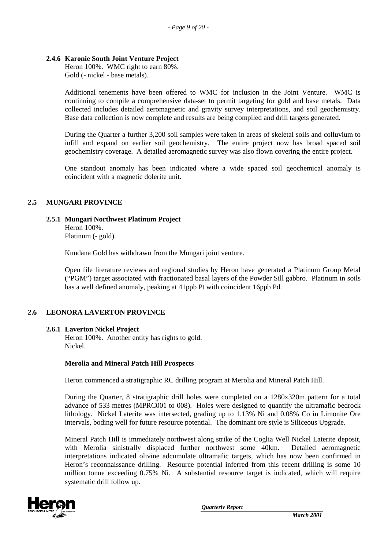### **2.4.6 Karonie South Joint Venture Project**

Heron 100%. WMC right to earn 80%. Gold (- nickel - base metals).

Additional tenements have been offered to WMC for inclusion in the Joint Venture. WMC is continuing to compile a comprehensive data-set to permit targeting for gold and base metals. Data collected includes detailed aeromagnetic and gravity survey interpretations, and soil geochemistry. Base data collection is now complete and results are being compiled and drill targets generated.

During the Quarter a further 3,200 soil samples were taken in areas of skeletal soils and colluvium to infill and expand on earlier soil geochemistry. The entire project now has broad spaced soil geochemistry coverage. A detailed aeromagnetic survey was also flown covering the entire project.

One standout anomaly has been indicated where a wide spaced soil geochemical anomaly is coincident with a magnetic dolerite unit.

### **2.5 MUNGARI PROVINCE**

### **2.5.1 Mungari Northwest Platinum Project**

Heron 100%. Platinum (- gold).

Kundana Gold has withdrawn from the Mungari joint venture.

Open file literature reviews and regional studies by Heron have generated a Platinum Group Metal ("PGM") target associated with fractionated basal layers of the Powder Sill gabbro. Platinum in soils has a well defined anomaly, peaking at 41ppb Pt with coincident 16ppb Pd.

#### **2.6 LEONORA LAVERTON PROVINCE**

#### **2.6.1 Laverton Nickel Project**

Heron 100%. Another entity has rights to gold. Nickel.

#### **Merolia and Mineral Patch Hill Prospects**

Heron commenced a stratigraphic RC drilling program at Merolia and Mineral Patch Hill.

During the Quarter, 8 stratigraphic drill holes were completed on a 1280x320m pattern for a total advance of 533 metres (MPRC001 to 008). Holes were designed to quantify the ultramafic bedrock lithology. Nickel Laterite was intersected, grading up to 1.13% Ni and 0.08% Co in Limonite Ore intervals, boding well for future resource potential. The dominant ore style is Siliceous Upgrade.

Mineral Patch Hill is immediately northwest along strike of the Coglia Well Nickel Laterite deposit, with Merolia sinistrally displaced further northwest some 40km. Detailed aeromagnetic interpretations indicated olivine adcumulate ultramafic targets, which has now been confirmed in Heron's reconnaissance drilling. Resource potential inferred from this recent drilling is some 10 million tonne exceeding 0.75% Ni. A substantial resource target is indicated, which will require systematic drill follow up.

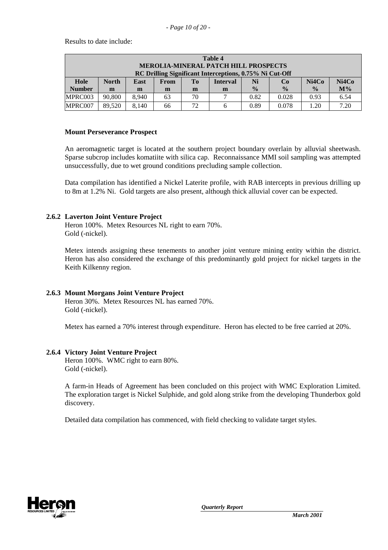Results to date include:

| Table 4                                                 |              |       |      |                |                 |               |               |               |       |
|---------------------------------------------------------|--------------|-------|------|----------------|-----------------|---------------|---------------|---------------|-------|
| <b>MEROLIA-MINERAL PATCH HILL PROSPECTS</b>             |              |       |      |                |                 |               |               |               |       |
| RC Drilling Significant Interceptions, 0.75% Ni Cut-Off |              |       |      |                |                 |               |               |               |       |
| Hole                                                    | <b>North</b> | East  | From | T <sub>0</sub> | <b>Interval</b> | Ni            | Co            | Ni4Co         | Ni4Co |
| <b>Number</b>                                           | m            | m     | m    | m              | m               | $\frac{0}{0}$ | $\frac{0}{0}$ | $\frac{6}{9}$ | $M\%$ |
| MPRC003                                                 | 90,800       | 8.940 | 63   | 70             |                 | 0.82          | 0.028         | 0.93          | 6.54  |
| MPRC007                                                 | 89.520       | 8.140 | 66   | 72             | 6               | 0.89          | 0.078         | 1.20          | 7.20  |

### **Mount Perseverance Prospect**

An aeromagnetic target is located at the southern project boundary overlain by alluvial sheetwash. Sparse subcrop includes komatiite with silica cap. Reconnaissance MMI soil sampling was attempted unsuccessfully, due to wet ground conditions precluding sample collection.

Data compilation has identified a Nickel Laterite profile, with RAB intercepts in previous drilling up to 8m at 1.2% Ni. Gold targets are also present, although thick alluvial cover can be expected.

# **2.6.2 Laverton Joint Venture Project**

Heron 100%. Metex Resources NL right to earn 70%. Gold (-nickel).

Metex intends assigning these tenements to another joint venture mining entity within the district. Heron has also considered the exchange of this predominantly gold project for nickel targets in the Keith Kilkenny region.

# **2.6.3 Mount Morgans Joint Venture Project**

Heron 30%. Metex Resources NL has earned 70%. Gold (-nickel).

Metex has earned a 70% interest through expenditure. Heron has elected to be free carried at 20%.

# **2.6.4 Victory Joint Venture Project**

Heron 100%. WMC right to earn 80%. Gold (-nickel).

A farm-in Heads of Agreement has been concluded on this project with WMC Exploration Limited. The exploration target is Nickel Sulphide, and gold along strike from the developing Thunderbox gold discovery.

Detailed data compilation has commenced, with field checking to validate target styles.

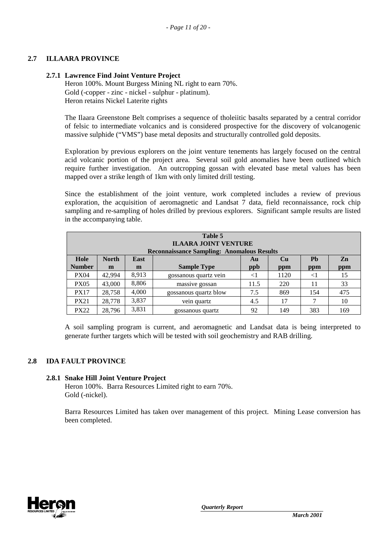# **2.7 ILLAARA PROVINCE**

### **2.7.1 Lawrence Find Joint Venture Project**

Heron 100%. Mount Burgess Mining NL right to earn 70%. Gold (-copper - zinc - nickel - sulphur - platinum). Heron retains Nickel Laterite rights

The Ilaara Greenstone Belt comprises a sequence of tholeiitic basalts separated by a central corridor of felsic to intermediate volcanics and is considered prospective for the discovery of volcanogenic massive sulphide ("VMS") base metal deposits and structurally controlled gold deposits.

Exploration by previous explorers on the joint venture tenements has largely focused on the central acid volcanic portion of the project area. Several soil gold anomalies have been outlined which require further investigation. An outcropping gossan with elevated base metal values has been mapped over a strike length of 1km with only limited drill testing.

Since the establishment of the joint venture, work completed includes a review of previous exploration, the acquisition of aeromagnetic and Landsat 7 data, field reconnaissance, rock chip sampling and re-sampling of holes drilled by previous explorers. Significant sample results are listed in the accompanying table.

| Table 5<br><b>ILAARA JOINT VENTURE</b><br><b>Reconnaissance Sampling: Anomalous Results</b> |              |       |                       |      |      |          |     |  |
|---------------------------------------------------------------------------------------------|--------------|-------|-----------------------|------|------|----------|-----|--|
| Hole                                                                                        | <b>North</b> | East  |                       | Au   | Cu   | Ph       | Zn  |  |
| <b>Number</b>                                                                               | m            | m     | <b>Sample Type</b>    | ppb  | ppm  | ppm      | ppm |  |
| <b>PX04</b>                                                                                 | 42.994       | 8,913 | gossanous quartz vein | <1   | 1120 | $\leq$ 1 | 15  |  |
| <b>PX05</b>                                                                                 | 43,000       | 8,806 | massive gossan        | 11.5 | 220  | 11       | 33  |  |
| <b>PX17</b>                                                                                 | 28,758       | 4,000 | gossanous quartz blow | 7.5  | 869  | 154      | 475 |  |
| <b>PX21</b>                                                                                 | 28,778       | 3,837 | vein quartz           | 4.5  | 17   |          | 10  |  |
| <b>PX22</b>                                                                                 | 28.796       | 3,831 | gossanous quartz      | 92   | 149  | 383      | 169 |  |

A soil sampling program is current, and aeromagnetic and Landsat data is being interpreted to generate further targets which will be tested with soil geochemistry and RAB drilling.

# **2.8 IDA FAULT PROVINCE**

#### **2.8.1 Snake Hill Joint Venture Project**

Heron 100%. Barra Resources Limited right to earn 70%. Gold (-nickel).

Barra Resources Limited has taken over management of this project. Mining Lease conversion has been completed.

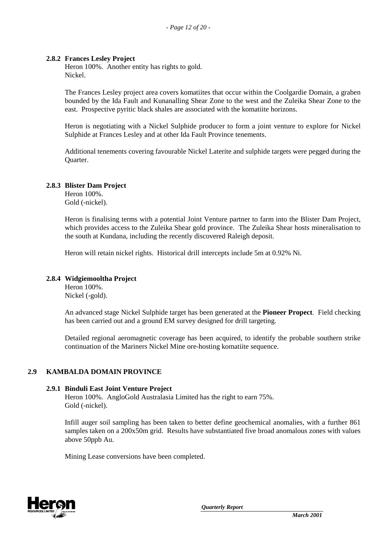### **2.8.2 Frances Lesley Project**

Heron 100%. Another entity has rights to gold. Nickel.

The Frances Lesley project area covers komatiites that occur within the Coolgardie Domain, a graben bounded by the Ida Fault and Kunanalling Shear Zone to the west and the Zuleika Shear Zone to the east. Prospective pyritic black shales are associated with the komatiite horizons.

Heron is negotiating with a Nickel Sulphide producer to form a joint venture to explore for Nickel Sulphide at Frances Lesley and at other Ida Fault Province tenements.

Additional tenements covering favourable Nickel Laterite and sulphide targets were pegged during the Quarter.

# **2.8.3 Blister Dam Project**

Heron 100%. Gold (-nickel).

Heron is finalising terms with a potential Joint Venture partner to farm into the Blister Dam Project, which provides access to the Zuleika Shear gold province. The Zuleika Shear hosts mineralisation to the south at Kundana, including the recently discovered Raleigh deposit.

Heron will retain nickel rights. Historical drill intercepts include 5m at 0.92% Ni.

### **2.8.4 Widgiemooltha Project**

Heron 100%. Nickel (-gold).

An advanced stage Nickel Sulphide target has been generated at the **Pioneer Propect**. Field checking has been carried out and a ground EM survey designed for drill targeting.

Detailed regional aeromagnetic coverage has been acquired, to identify the probable southern strike continuation of the Mariners Nickel Mine ore-hosting komatiite sequence.

# **2.9 KAMBALDA DOMAIN PROVINCE**

#### **2.9.1 Binduli East Joint Venture Project**

Heron 100%. AngloGold Australasia Limited has the right to earn 75%. Gold (-nickel).

Infill auger soil sampling has been taken to better define geochemical anomalies, with a further 861 samples taken on a 200x50m grid. Results have substantiated five broad anomalous zones with values above 50ppb Au.

Mining Lease conversions have been completed.

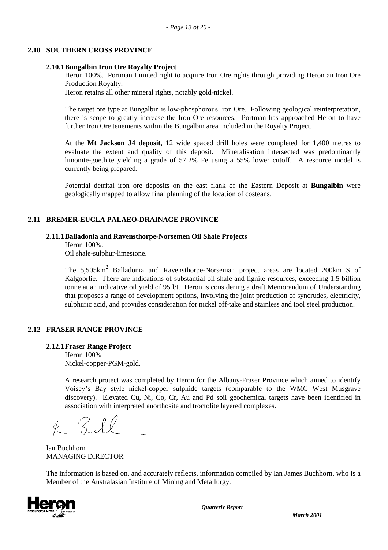### **2.10 SOUTHERN CROSS PROVINCE**

### **2.10.1Bungalbin Iron Ore Royalty Project**

Heron 100%. Portman Limited right to acquire Iron Ore rights through providing Heron an Iron Ore Production Royalty.

Heron retains all other mineral rights, notably gold-nickel.

The target ore type at Bungalbin is low-phosphorous Iron Ore. Following geological reinterpretation, there is scope to greatly increase the Iron Ore resources. Portman has approached Heron to have further Iron Ore tenements within the Bungalbin area included in the Royalty Project.

At the **Mt Jackson J4 deposit**, 12 wide spaced drill holes were completed for 1,400 metres to evaluate the extent and quality of this deposit. Mineralisation intersected was predominantly limonite-goethite yielding a grade of 57.2% Fe using a 55% lower cutoff. A resource model is currently being prepared.

Potential detrital iron ore deposits on the east flank of the Eastern Deposit at **Bungalbin** were geologically mapped to allow final planning of the location of costeans.

# **2.11 BREMER-EUCLA PALAEO-DRAINAGE PROVINCE**

### **2.11.1Balladonia and Ravensthorpe-Norsemen Oil Shale Projects**

Heron 100%.

Oil shale-sulphur-limestone.

The  $5,505 \text{km}^2$  Balladonia and Ravensthorpe-Norseman project areas are located 200km S of Kalgoorlie. There are indications of substantial oil shale and lignite resources, exceeding 1.5 billion tonne at an indicative oil yield of 95 l/t. Heron is considering a draft Memorandum of Understanding that proposes a range of development options, involving the joint production of syncrudes, electricity, sulphuric acid, and provides consideration for nickel off-take and stainless and tool steel production.

# **2.12 FRASER RANGE PROVINCE**

**2.12.1Fraser Range Project**

Heron 100% Nickel-copper-PGM-gold.

A research project was completed by Heron for the Albany-Fraser Province which aimed to identify Voisey's Bay style nickel-copper sulphide targets (comparable to the WMC West Musgrave discovery). Elevated Cu, Ni, Co, Cr, Au and Pd soil geochemical targets have been identified in association with interpreted anorthosite and troctolite layered complexes.

 $4 - Rl$ 

Ian Buchhorn MANAGING DIRECTOR

The information is based on, and accurately reflects, information compiled by Ian James Buchhorn, who is a Member of the Australasian Institute of Mining and Metallurgy.

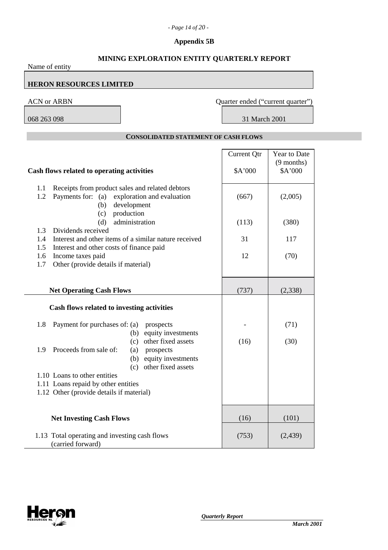# *- Page 14 of 20 -*

# **Appendix 5B**

| MINING EXPLORATION ENTITY QUARTERLY REPORT<br>Name of entity                                                                                                                              |                                   |                                         |
|-------------------------------------------------------------------------------------------------------------------------------------------------------------------------------------------|-----------------------------------|-----------------------------------------|
| <b>HERON RESOURCES LIMITED</b>                                                                                                                                                            |                                   |                                         |
| <b>ACN or ARBN</b>                                                                                                                                                                        | Quarter ended ("current quarter") |                                         |
| 068 263 098                                                                                                                                                                               | 31 March 2001                     |                                         |
| <b>CONSOLIDATED STATEMENT OF CASH FLOWS</b>                                                                                                                                               |                                   |                                         |
| Cash flows related to operating activities                                                                                                                                                | <b>Current Qtr</b><br>\$A'000     | Year to Date<br>$(9$ months)<br>\$A'000 |
| Receipts from product sales and related debtors<br>1.1<br>exploration and evaluation<br>1.2<br>Payments for: (a)<br>development<br>(b)                                                    | (667)                             | (2,005)                                 |
| production<br>(c)<br>administration<br>(d)<br>Dividends received<br>1.3                                                                                                                   | (113)                             | (380)                                   |
| Interest and other items of a similar nature received<br>1.4<br>Interest and other costs of finance paid<br>1.5<br>Income taxes paid<br>1.6<br>Other (provide details if material)<br>1.7 | 31<br>12                          | 117<br>(70)                             |
| <b>Net Operating Cash Flows</b>                                                                                                                                                           | (737)                             | (2,338)                                 |
| Cash flows related to investing activities                                                                                                                                                |                                   |                                         |
| Payment for purchases of: (a)<br>1.8<br>prospects<br>equity investments<br>(b)                                                                                                            |                                   | (71)                                    |
| other fixed assets<br>(c)<br>1.9 Proceeds from sale of:<br>(a)<br>prospects<br>equity investments<br>(b)<br>other fixed assets<br>(c)                                                     | (16)                              | (30)                                    |
| 1.10 Loans to other entities<br>1.11 Loans repaid by other entities<br>1.12 Other (provide details if material)                                                                           |                                   |                                         |
| <b>Net Investing Cash Flows</b>                                                                                                                                                           | (16)                              | (101)                                   |
| 1.13 Total operating and investing cash flows<br>(carried forward)                                                                                                                        | (753)                             | (2,439)                                 |

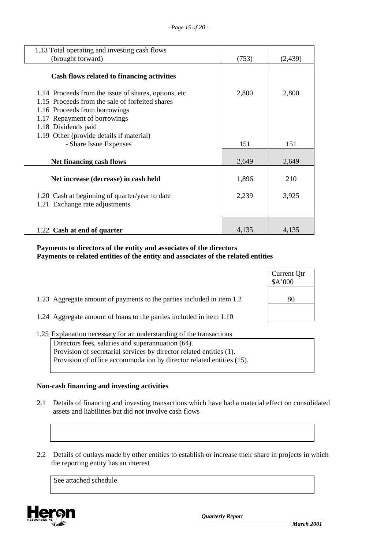| 1.13 Total operating and investing cash flows                                                                                                                                                                                                |       |          |
|----------------------------------------------------------------------------------------------------------------------------------------------------------------------------------------------------------------------------------------------|-------|----------|
| (brought forward)                                                                                                                                                                                                                            | (753) | (2, 439) |
| Cash flows related to financing activities                                                                                                                                                                                                   |       |          |
| 1.14 Proceeds from the issue of shares, options, etc.<br>1.15 Proceeds from the sale of forfeited shares<br>1.16 Proceeds from borrowings<br>1.17 Repayment of borrowings<br>1.18 Dividends paid<br>1.19 Other (provide details if material) | 2,800 | 2,800    |
| - Share Issue Expenses                                                                                                                                                                                                                       | 151   | 151      |
| Net financing cash flows                                                                                                                                                                                                                     | 2,649 | 2,649    |
| Net increase (decrease) in cash held                                                                                                                                                                                                         | 1,896 | 210      |
| 1.20 Cash at beginning of quarter/year to date<br>1.21 Exchange rate adjustments                                                                                                                                                             | 2,239 | 3,925    |
| 1.22 Cash at end of quarter                                                                                                                                                                                                                  | 4,135 | 4,135    |

### **Payments to directors of the entity and associates of the directors Payments to related entities of the entity and associates of the related entities**

|                                                                       | Current Qtr<br>\$A'000 |
|-----------------------------------------------------------------------|------------------------|
| 1.23 Aggregate amount of payments to the parties included in item 1.2 | 80                     |
| 1.24 Aggregate amount of loans to the parties included in item 1.10   |                        |

1.25 Explanation necessary for an understanding of the transactions

Directors fees, salaries and superannuation (64). Provision of secretarial services by director related entities (1). Provision of office accommodation by director related entities (15).

# **Non-cash financing and investing activities**

- 2.1 Details of financing and investing transactions which have had a material effect on consolidated assets and liabilities but did not involve cash flows
- 2.2 Details of outlays made by other entities to establish or increase their share in projects in which the reporting entity has an interest

See attached schedule

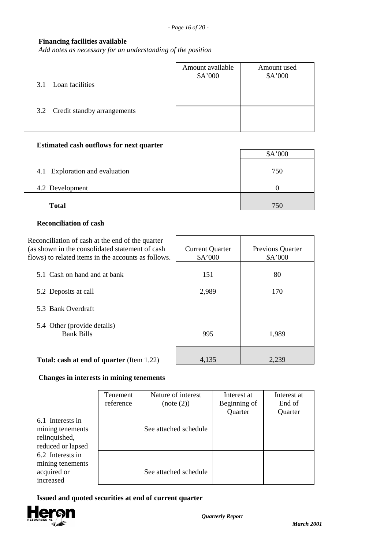# **Financing facilities available**

*Add notes as necessary for an understanding of the position*

|                                 | Amount available<br>\$A'000 | Amount used<br>A'000 |
|---------------------------------|-----------------------------|----------------------|
| 3.1 Loan facilities             |                             |                      |
| 3.2 Credit standby arrangements |                             |                      |
|                                 |                             |                      |

# **Estimated cash outflows for next quarter**

|                                | \$A'000 |
|--------------------------------|---------|
| 4.1 Exploration and evaluation | 750     |
| 4.2 Development                |         |
| <b>Total</b>                   | 750     |

### **Reconciliation of cash**

| Reconciliation of cash at the end of the quarter<br>(as shown in the consolidated statement of cash<br>flows) to related items in the accounts as follows. | <b>Current Quarter</b><br>\$A'000 | Previous Quarter<br>\$A'000 |
|------------------------------------------------------------------------------------------------------------------------------------------------------------|-----------------------------------|-----------------------------|
| 5.1 Cash on hand and at bank                                                                                                                               | 151                               | 80                          |
| 5.2 Deposits at call                                                                                                                                       | 2,989                             | 170                         |
| 5.3 Bank Overdraft                                                                                                                                         |                                   |                             |
| 5.4 Other (provide details)<br><b>Bank Bills</b>                                                                                                           | 995                               | 1,989                       |
| <b>Total: cash at end of quarter (Item 1.22)</b>                                                                                                           | 4.135                             | 2.239                       |

#### **Changes in interests in mining tenements**

|                                                                            | Tenement<br>reference | Nature of interest<br>(note (2)) | Interest at<br>Beginning of<br>Quarter | Interest at<br>End of<br>Quarter |
|----------------------------------------------------------------------------|-----------------------|----------------------------------|----------------------------------------|----------------------------------|
| 6.1 Interests in<br>mining tenements<br>relinquished,<br>reduced or lapsed |                       | See attached schedule            |                                        |                                  |
| 6.2 Interests in<br>mining tenements<br>acquired or<br>increased           |                       | See attached schedule            |                                        |                                  |

 **Issued and quoted securities at end of current quarter**

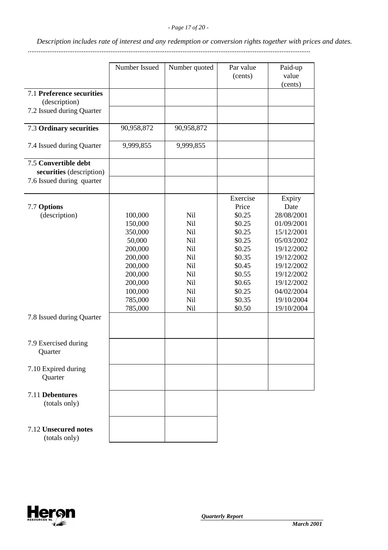*Description includes rate of interest and any redemption or conversion rights together with prices and dates.*

.............................................................................................................................................................

|                                                  | Number Issued | Number quoted | Par value<br>(cents) | Paid-up<br>value<br>(cents) |
|--------------------------------------------------|---------------|---------------|----------------------|-----------------------------|
| 7.1 Preference securities<br>(description)       |               |               |                      |                             |
| 7.2 Issued during Quarter                        |               |               |                      |                             |
| 7.3 Ordinary securities                          | 90,958,872    | 90,958,872    |                      |                             |
| 7.4 Issued during Quarter                        | 9,999,855     | 9,999,855     |                      |                             |
| 7.5 Convertible debt<br>securities (description) |               |               |                      |                             |
| 7.6 Issued during quarter                        |               |               |                      |                             |
|                                                  |               |               | Exercise             | Expiry                      |
| 7.7 Options                                      |               |               | Price                | Date                        |
| (description)                                    | 100,000       | <b>Nil</b>    | \$0.25               | 28/08/2001                  |
|                                                  | 150,000       | Nil           | \$0.25               | 01/09/2001                  |
|                                                  | 350,000       | <b>Nil</b>    | \$0.25               | 15/12/2001                  |
|                                                  | 50,000        | Nil           | \$0.25               | 05/03/2002                  |
|                                                  | 200,000       | Nil           | \$0.25               | 19/12/2002                  |
|                                                  | 200,000       | Nil           | \$0.35               | 19/12/2002                  |
|                                                  | 200,000       | <b>Nil</b>    | \$0.45               | 19/12/2002                  |
|                                                  | 200,000       | <b>Nil</b>    | \$0.55               | 19/12/2002                  |
|                                                  | 200,000       | <b>Nil</b>    | \$0.65               | 19/12/2002                  |
|                                                  | 100,000       | Nil           | \$0.25               | 04/02/2004                  |
|                                                  | 785,000       | <b>Nil</b>    | \$0.35               | 19/10/2004                  |
|                                                  | 785,000       | <b>Nil</b>    | \$0.50               | 19/10/2004                  |
| 7.8 Issued during Quarter                        |               |               |                      |                             |
| 7.9 Exercised during<br>Quarter                  |               |               |                      |                             |
| 7.10 Expired during<br>Quarter                   |               |               |                      |                             |
|                                                  |               |               |                      |                             |
| 7.11 Debentures<br>(totals only)                 |               |               |                      |                             |
| 7.12 Unsecured notes<br>(totals only)            |               |               |                      |                             |
|                                                  |               |               |                      |                             |

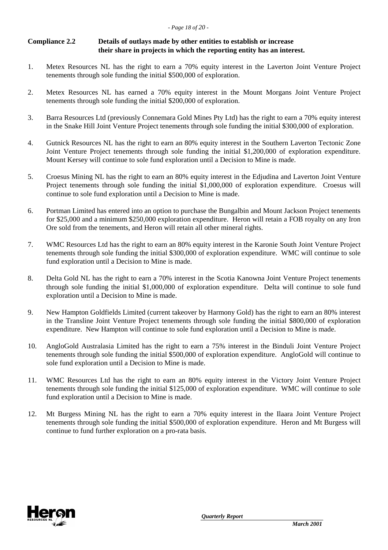# **Compliance 2.2 Details of outlays made by other entities to establish or increase their share in projects in which the reporting entity has an interest.**

- 1. Metex Resources NL has the right to earn a 70% equity interest in the Laverton Joint Venture Project tenements through sole funding the initial \$500,000 of exploration.
- 2. Metex Resources NL has earned a 70% equity interest in the Mount Morgans Joint Venture Project tenements through sole funding the initial \$200,000 of exploration.
- 3. Barra Resources Ltd (previously Connemara Gold Mines Pty Ltd) has the right to earn a 70% equity interest in the Snake Hill Joint Venture Project tenements through sole funding the initial \$300,000 of exploration.
- 4. Gutnick Resources NL has the right to earn an 80% equity interest in the Southern Laverton Tectonic Zone Joint Venture Project tenements through sole funding the initial \$1,200,000 of exploration expenditure. Mount Kersey will continue to sole fund exploration until a Decision to Mine is made.
- 5. Croesus Mining NL has the right to earn an 80% equity interest in the Edjudina and Laverton Joint Venture Project tenements through sole funding the initial \$1,000,000 of exploration expenditure. Croesus will continue to sole fund exploration until a Decision to Mine is made.
- 6. Portman Limited has entered into an option to purchase the Bungalbin and Mount Jackson Project tenements for \$25,000 and a minimum \$250,000 exploration expenditure. Heron will retain a FOB royalty on any Iron Ore sold from the tenements, and Heron will retain all other mineral rights.
- 7. WMC Resources Ltd has the right to earn an 80% equity interest in the Karonie South Joint Venture Project tenements through sole funding the initial \$300,000 of exploration expenditure. WMC will continue to sole fund exploration until a Decision to Mine is made.
- 8. Delta Gold NL has the right to earn a 70% interest in the Scotia Kanowna Joint Venture Project tenements through sole funding the initial \$1,000,000 of exploration expenditure. Delta will continue to sole fund exploration until a Decision to Mine is made.
- 9. New Hampton Goldfields Limited (current takeover by Harmony Gold) has the right to earn an 80% interest in the Transline Joint Venture Project tenements through sole funding the initial \$800,000 of exploration expenditure. New Hampton will continue to sole fund exploration until a Decision to Mine is made.
- 10. AngloGold Australasia Limited has the right to earn a 75% interest in the Binduli Joint Venture Project tenements through sole funding the initial \$500,000 of exploration expenditure. AngloGold will continue to sole fund exploration until a Decision to Mine is made.
- 11. WMC Resources Ltd has the right to earn an 80% equity interest in the Victory Joint Venture Project tenements through sole funding the initial \$125,000 of exploration expenditure. WMC will continue to sole fund exploration until a Decision to Mine is made.
- 12. Mt Burgess Mining NL has the right to earn a 70% equity interest in the Ilaara Joint Venture Project tenements through sole funding the initial \$500,000 of exploration expenditure. Heron and Mt Burgess will continue to fund further exploration on a pro-rata basis.

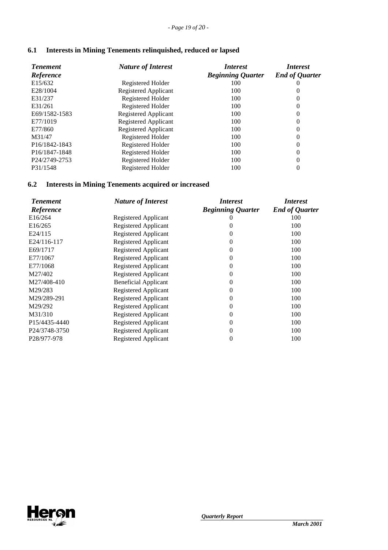| 6.1 |  | <b>Interests in Mining Tenements relinquished, reduced or lapsed</b> |  |
|-----|--|----------------------------------------------------------------------|--|
|     |  |                                                                      |  |

| <b>Tenement</b><br>Reference | <b>Nature of Interest</b>   | <i>Interest</i><br><b>Beginning Quarter</b> | <i>Interest</i><br><b>End of Quarter</b> |
|------------------------------|-----------------------------|---------------------------------------------|------------------------------------------|
| E15/632                      | Registered Holder           | 100                                         | U                                        |
| E28/1004                     | Registered Applicant        | 100                                         | $^{(1)}$                                 |
| E31/237                      | Registered Holder           | 100                                         | 0                                        |
| E31/261                      | Registered Holder           | 100                                         | $\overline{0}$                           |
| E69/1582-1583                | <b>Registered Applicant</b> | 100                                         | $\overline{0}$                           |
| E77/1019                     | Registered Applicant        | 100                                         | $\overline{0}$                           |
| E77/860                      | <b>Registered Applicant</b> | 100                                         | 0                                        |
| M31/47                       | Registered Holder           | 100                                         | $\overline{0}$                           |
| P <sub>16</sub> /1842-1843   | Registered Holder           | 100                                         | 0                                        |
| P <sub>16</sub> /1847-1848   | Registered Holder           | 100                                         | $\overline{0}$                           |
| P <sub>24</sub> /2749-2753   | Registered Holder           | 100                                         | $\overline{0}$                           |
| P31/1548                     | Registered Holder           | 100                                         | 0                                        |

# **6.2 Interests in Mining Tenements acquired or increased**

| <b>Tenement</b>            | <b>Nature of Interest</b>   | <i>Interest</i>          | <i>Interest</i>       |
|----------------------------|-----------------------------|--------------------------|-----------------------|
| Reference                  |                             | <b>Beginning Quarter</b> | <b>End of Quarter</b> |
| E16/264                    | Registered Applicant        |                          | 100                   |
| E <sub>16</sub> /265       | Registered Applicant        | 0                        | 100                   |
| E24/115                    | Registered Applicant        | 0                        | 100                   |
| E24/116-117                | Registered Applicant        | 0                        | 100                   |
| E69/1717                   | Registered Applicant        | $\theta$                 | 100                   |
| E77/1067                   | Registered Applicant        | $\theta$                 | 100                   |
| E77/1068                   | <b>Registered Applicant</b> | $\theta$                 | 100                   |
| M27/402                    | Registered Applicant        | $\theta$                 | 100                   |
| M27/408-410                | <b>Beneficial Applicant</b> | 0                        | 100                   |
| M29/283                    | Registered Applicant        | 0                        | 100                   |
| M29/289-291                | Registered Applicant        | 0                        | 100                   |
| M29/292                    | Registered Applicant        | 0                        | 100                   |
| M31/310                    | <b>Registered Applicant</b> | $\theta$                 | 100                   |
| P15/4435-4440              | Registered Applicant        | $\theta$                 | 100                   |
| P <sub>24</sub> /3748-3750 | Registered Applicant        | $\theta$                 | 100                   |
| P <sub>28</sub> /977-978   | Registered Applicant        | 0                        | 100                   |
|                            |                             |                          |                       |